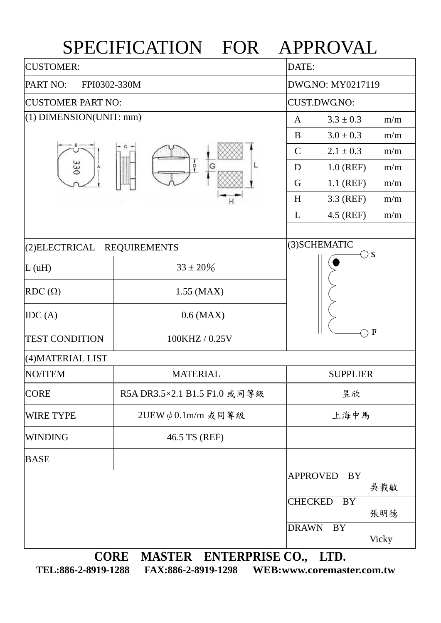## SPECIFICATION FOR APPROVAL

| <b>CUSTOMER:</b>            |                                     |                 | DATE:                       |  |  |  |
|-----------------------------|-------------------------------------|-----------------|-----------------------------|--|--|--|
| PART NO:<br>FPI0302-330M    |                                     |                 | DWG.NO: MY0217119           |  |  |  |
| <b>CUSTOMER PART NO:</b>    |                                     |                 | <b>CUST.DWG.NO:</b>         |  |  |  |
| $(1)$ DIMENSION(UNIT: mm)   |                                     | A               | $3.3 \pm 0.3$<br>m/m        |  |  |  |
|                             |                                     | B               | $3.0 \pm 0.3$<br>m/m        |  |  |  |
|                             | $\frac{1}{2}$<br>G                  | $\mathsf{C}$    | $2.1 \pm 0.3$<br>m/m        |  |  |  |
| 330<br>А                    |                                     | D               | $1.0$ (REF)<br>m/m          |  |  |  |
|                             |                                     | G               | $1.1$ (REF)<br>m/m          |  |  |  |
|                             | Η                                   | H               | 3.3 (REF)<br>m/m            |  |  |  |
|                             |                                     | L               | 4.5 (REF)<br>m/m            |  |  |  |
|                             |                                     |                 | (3) SCHEMATIC               |  |  |  |
| (2) ELECTRICAL REQUIREMENTS |                                     |                 | $\supset$ S                 |  |  |  |
| L(uH)                       | $33 \pm 20\%$                       |                 |                             |  |  |  |
| $RDC(\Omega)$               | $1.55$ (MAX)                        |                 |                             |  |  |  |
| IDC(A)                      | $0.6$ (MAX)                         |                 |                             |  |  |  |
| <b>TEST CONDITION</b>       | 100KHZ / 0.25V                      | F               |                             |  |  |  |
| (4) MATERIAL LIST           |                                     |                 |                             |  |  |  |
| NO/ITEM                     | <b>MATERIAL</b>                     | <b>SUPPLIER</b> |                             |  |  |  |
| <b>CORE</b>                 | R5ADR3.5×2.1 B1.5 F1.0 或同等級         |                 | 昱欣                          |  |  |  |
| <b>WIRE TYPE</b>            | 2UEW $\phi$ 0.1m/m 或同等級             | 上海中馬            |                             |  |  |  |
| <b>WINDING</b>              | 46.5 TS (REF)                       |                 |                             |  |  |  |
| <b>BASE</b>                 |                                     |                 |                             |  |  |  |
|                             |                                     |                 | <b>APPROVED</b><br>BY       |  |  |  |
|                             |                                     |                 | 吳載敏                         |  |  |  |
|                             |                                     |                 | <b>CHECKED</b><br>BY<br>張明德 |  |  |  |
|                             |                                     | <b>DRAWN</b>    | <b>BY</b><br>Vicky          |  |  |  |
|                             | $\cap$ ODE MASTED ENTEDDDISE $\cap$ |                 | <b>TTD</b>                  |  |  |  |

**CORE MASTER ENTERPRISE CO., LTD. TEL:886-2-8919-1288 FAX:886-2-8919-1298 WEB:www.coremaster.com.tw**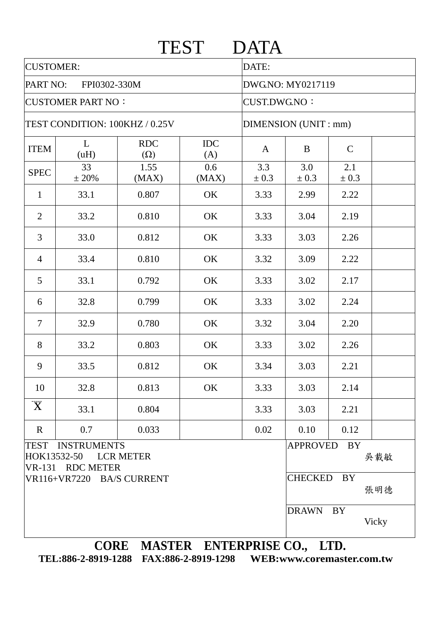|                                                            |                                                               |               | TEST         | <b>DATA</b>                                 |              |              |              |  |  |
|------------------------------------------------------------|---------------------------------------------------------------|---------------|--------------|---------------------------------------------|--------------|--------------|--------------|--|--|
| <b>CUSTOMER:</b>                                           |                                                               |               |              | DATE:                                       |              |              |              |  |  |
| PART NO:<br>FPI0302-330M                                   |                                                               |               |              | DWG.NO: MY0217119                           |              |              |              |  |  |
| <b>CUSTOMER PART NO:</b><br>TEST CONDITION: 100KHZ / 0.25V |                                                               |               |              | <b>CUST.DWG.NO:</b><br>DIMENSION (UNIT: mm) |              |              |              |  |  |
|                                                            |                                                               |               |              |                                             |              |              |              |  |  |
| <b>SPEC</b>                                                | 33<br>± 20%                                                   | 1.55<br>(MAX) | 0.6<br>(MAX) | 3.3<br>$\pm 0.3$                            | 3.0<br>± 0.3 | 2.1<br>± 0.3 |              |  |  |
| $\mathbf{1}$                                               | 33.1                                                          | 0.807         | OK           | 3.33                                        | 2.99         | 2.22         |              |  |  |
| $\overline{2}$                                             | 33.2                                                          | 0.810         | OK           | 3.33                                        | 3.04         | 2.19         |              |  |  |
| $\overline{3}$                                             | 33.0                                                          | 0.812         | OK           | 3.33                                        | 3.03         | 2.26         |              |  |  |
| $\overline{4}$                                             | 33.4                                                          | 0.810         | OK           | 3.32                                        | 3.09         | 2.22         |              |  |  |
| 5                                                          | 33.1                                                          | 0.792         | OK           | 3.33                                        | 3.02         | 2.17         |              |  |  |
| 6                                                          | 32.8                                                          | 0.799         | OK           | 3.33                                        | 3.02         | 2.24         |              |  |  |
| $\overline{7}$                                             | 32.9                                                          | 0.780         | OK           | 3.32                                        | 3.04         | 2.20         |              |  |  |
| 8                                                          | 33.2                                                          | 0.803         | OK           | 3.33                                        | 3.02         | 2.26         |              |  |  |
| 9                                                          | 33.5                                                          | 0.812         | OK           | 3.34                                        | 3.03         | 2.21         |              |  |  |
| 10                                                         | 32.8                                                          | 0.813         | OK           | 3.33                                        | 3.03         | 2.14         |              |  |  |
| $\overline{\mathbf{X}}$                                    | 33.1                                                          | 0.804         |              | 3.33                                        | 3.03         | 2.21         |              |  |  |
| $\mathbf R$                                                | 0.7                                                           | 0.033         |              | 0.02                                        | 0.10         | 0.12         |              |  |  |
|                                                            | TEST INSTRUMENTS<br>HOK13532-50 LCR METER<br>VR-131 RDC METER |               |              |                                             | APPROVED BY  |              | 吳載敏          |  |  |
|                                                            | VR116+VR7220 BA/S CURRENT                                     |               |              |                                             | CHECKED BY   |              | 張明德          |  |  |
|                                                            |                                                               |               |              |                                             | DRAWN BY     |              | <b>Vicky</b> |  |  |

**TEL:886-2-8919-1288 FAX:886-2-8919-1298 WEB:www.coremaster.com.tw**